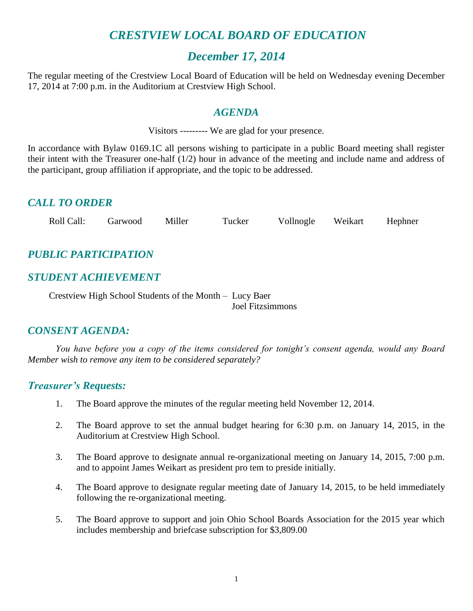# *CRESTVIEW LOCAL BOARD OF EDUCATION*

# *December 17, 2014*

The regular meeting of the Crestview Local Board of Education will be held on Wednesday evening December 17, 2014 at 7:00 p.m. in the Auditorium at Crestview High School.

### *AGENDA*

Visitors --------- We are glad for your presence.

In accordance with Bylaw 0169.1C all persons wishing to participate in a public Board meeting shall register their intent with the Treasurer one-half (1/2) hour in advance of the meeting and include name and address of the participant, group affiliation if appropriate, and the topic to be addressed.

# *CALL TO ORDER*

| Roll Call: | Garwood | Miller | Tucker | Vollnogle | Weikart | Hephner |
|------------|---------|--------|--------|-----------|---------|---------|
|            |         |        |        |           |         |         |

# *PUBLIC PARTICIPATION*

# *STUDENT ACHIEVEMENT*

Crestview High School Students of the Month – Lucy Baer Joel Fitzsimmons

# *CONSENT AGENDA:*

*You have before you a copy of the items considered for tonight's consent agenda, would any Board Member wish to remove any item to be considered separately?*

## *Treasurer's Requests:*

- 1. The Board approve the minutes of the regular meeting held November 12, 2014.
- 2. The Board approve to set the annual budget hearing for 6:30 p.m. on January 14, 2015, in the Auditorium at Crestview High School.
- 3. The Board approve to designate annual re-organizational meeting on January 14, 2015, 7:00 p.m. and to appoint James Weikart as president pro tem to preside initially.
- 4. The Board approve to designate regular meeting date of January 14, 2015, to be held immediately following the re-organizational meeting.
- 5. The Board approve to support and join Ohio School Boards Association for the 2015 year which includes membership and briefcase subscription for \$3,809.00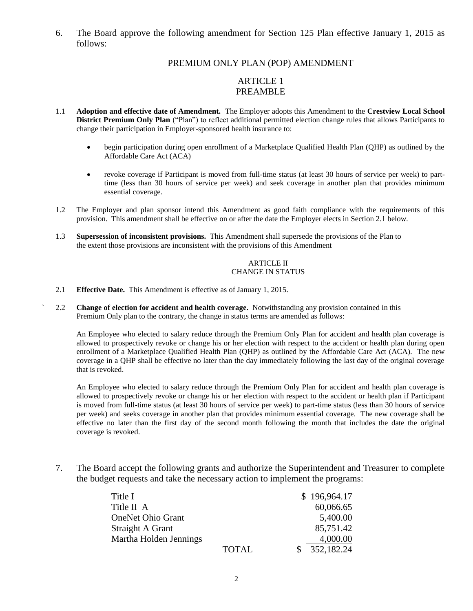6. The Board approve the following amendment for Section 125 Plan effective January 1, 2015 as follows:

#### PREMIUM ONLY PLAN (POP) AMENDMENT

#### ARTICLE 1 PREAMBLE

- 1.1 **Adoption and effective date of Amendment.** The Employer adopts this Amendment to the **Crestview Local School District Premium Only Plan** ("Plan") to reflect additional permitted election change rules that allows Participants to change their participation in Employer-sponsored health insurance to:
	- begin participation during open enrollment of a Marketplace Qualified Health Plan (QHP) as outlined by the Affordable Care Act (ACA)
	- revoke coverage if Participant is moved from full-time status (at least 30 hours of service per week) to parttime (less than 30 hours of service per week) and seek coverage in another plan that provides minimum essential coverage.
- 1.2 The Employer and plan sponsor intend this Amendment as good faith compliance with the requirements of this provision. This amendment shall be effective on or after the date the Employer elects in Section 2.1 below.
- 1.3 **Supersession of inconsistent provisions.** This Amendment shall supersede the provisions of the Plan to the extent those provisions are inconsistent with the provisions of this Amendment

#### ARTICLE II CHANGE IN STATUS

- 2.1 **Effective Date.** This Amendment is effective as of January 1, 2015.
- ` 2.2 **Change of election for accident and health coverage.** Notwithstanding any provision contained in this Premium Only plan to the contrary, the change in status terms are amended as follows:

An Employee who elected to salary reduce through the Premium Only Plan for accident and health plan coverage is allowed to prospectively revoke or change his or her election with respect to the accident or health plan during open enrollment of a Marketplace Qualified Health Plan (QHP) as outlined by the Affordable Care Act (ACA). The new coverage in a QHP shall be effective no later than the day immediately following the last day of the original coverage that is revoked.

An Employee who elected to salary reduce through the Premium Only Plan for accident and health plan coverage is allowed to prospectively revoke or change his or her election with respect to the accident or health plan if Participant is moved from full-time status (at least 30 hours of service per week) to part-time status (less than 30 hours of service per week) and seeks coverage in another plan that provides minimum essential coverage. The new coverage shall be effective no later than the first day of the second month following the month that includes the date the original coverage is revoked.

7. The Board accept the following grants and authorize the Superintendent and Treasurer to complete the budget requests and take the necessary action to implement the programs:

| Title I                  |       | \$196,964.17 |  |
|--------------------------|-------|--------------|--|
| Title II A               |       | 60,066.65    |  |
| <b>OneNet Ohio Grant</b> |       | 5,400.00     |  |
| Straight A Grant         |       | 85,751.42    |  |
| Martha Holden Jennings   |       | 4,000.00     |  |
|                          | TOTAL | 352,182.24   |  |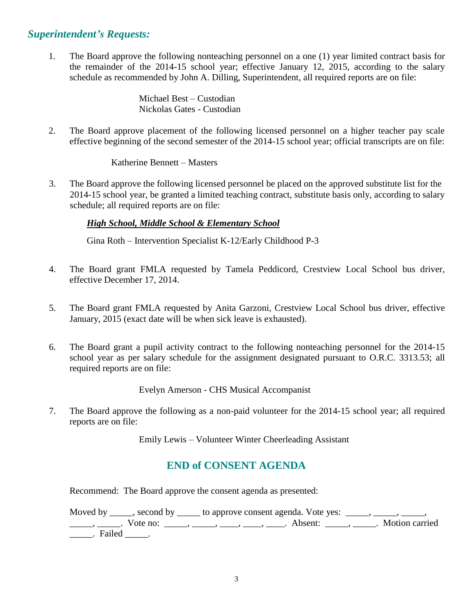## *Superintendent's Requests:*

1. The Board approve the following nonteaching personnel on a one (1) year limited contract basis for the remainder of the 2014-15 school year; effective January 12, 2015, according to the salary schedule as recommended by John A. Dilling, Superintendent, all required reports are on file:

> Michael Best – Custodian Nickolas Gates - Custodian

2. The Board approve placement of the following licensed personnel on a higher teacher pay scale effective beginning of the second semester of the 2014-15 school year; official transcripts are on file:

Katherine Bennett – Masters

3. The Board approve the following licensed personnel be placed on the approved substitute list for the 2014-15 school year, be granted a limited teaching contract, substitute basis only, according to salary schedule; all required reports are on file:

#### *High School, Middle School & Elementary School*

Gina Roth – Intervention Specialist K-12/Early Childhood P-3

- 4. The Board grant FMLA requested by Tamela Peddicord, Crestview Local School bus driver, effective December 17, 2014.
- 5. The Board grant FMLA requested by Anita Garzoni, Crestview Local School bus driver, effective January, 2015 (exact date will be when sick leave is exhausted).
- 6. The Board grant a pupil activity contract to the following nonteaching personnel for the 2014-15 school year as per salary schedule for the assignment designated pursuant to O.R.C. 3313.53; all required reports are on file:

Evelyn Amerson - CHS Musical Accompanist

7. The Board approve the following as a non-paid volunteer for the 2014-15 school year; all required reports are on file:

Emily Lewis – Volunteer Winter Cheerleading Assistant

# **END of CONSENT AGENDA**

Recommend: The Board approve the consent agenda as presented:

Moved by \_\_\_\_, second by \_\_\_\_\_ to approve consent agenda. Vote yes: \_\_\_\_, \_\_\_\_ ——, ——, Vote no: \_\_\_\_, \_\_\_, \_\_\_, \_\_\_, \_\_\_, Absent: \_\_\_\_, \_\_\_\_. Motion carried \_\_\_\_\_. Failed \_\_\_\_\_.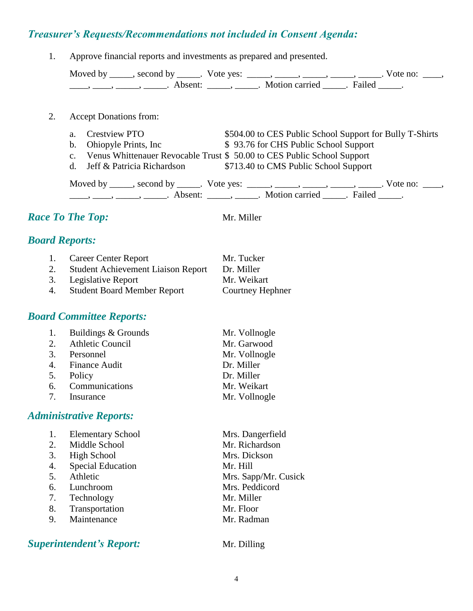# *Treasurer's Requests/Recommendations not included in Consent Agenda:*

1. Approve financial reports and investments as prepared and presented.

| Moved by second by  | Vote yes: |                         | vote no: |  |
|---------------------|-----------|-------------------------|----------|--|
| Absent <sup>.</sup> |           | Motion carried . Failed |          |  |

#### 2. Accept Donations from:

- a. Crestview PTO  $$504.00$  to CES Public School Support for Bully T-Shirts
- b. Ohiopyle Prints, Inc  $$ 93.76$  for CHS Public School Support
- c. Venus Whittenauer Revocable Trust \$ 50.00 to CES Public School Support
- d. Jeff & Patricia Richardson \$713.40 to CMS Public School Support

Moved by \_\_\_\_\_, second by \_\_\_\_\_. Vote yes:  $\_\_\_\_\_\_\_\_\_\_\_\_\_\_\_$  \_\_\_\_\_, \_\_\_\_\_, \_\_\_\_\_. Vote no:  $\_\_\_\_\_\_\$ \_\_\_\_\_, \_\_\_\_\_\_, \_\_\_\_\_\_\_. Absent: \_\_\_\_\_\_, \_\_\_\_\_\_. Motion carried \_\_\_\_\_\_. Failed \_\_\_\_\_.

# *Race To The Top:* Mr. Miller

# *Board Reports:*

1. Career Center Report Mr. Tucker 2. Student Achievement Liaison Report Dr. Miller 3. Legislative Report Mr. Weikart 4. Student Board Member Report Courtney Hephner

# *Board Committee Reports:*

| 1. Buildings & Grounds | Mr. Vollnogle |
|------------------------|---------------|
| 2. Athletic Council    | Mr. Garwood   |
| 3. Personnel           | Mr. Vollnogle |
| 4. Finance Audit       | Dr. Miller    |
| 5. Policy              | Dr. Miller    |
| 6. Communications      | Mr. Weikart   |
| 7. Insurance           | Mr. Vollnogle |

## *Administrative Reports:*

| 1. | <b>Elementary School</b> | Mrs. Dangerfield     |
|----|--------------------------|----------------------|
| 2. | Middle School            | Mr. Richardson       |
| 3. | High School              | Mrs. Dickson         |
| 4. | <b>Special Education</b> | Mr. Hill             |
| 5. | Athletic                 | Mrs. Sapp/Mr. Cusick |
| 6. | Lunchroom                | Mrs. Peddicord       |
| 7. | Technology               | Mr. Miller           |
| 8. | Transportation           | Mr. Floor            |
| 9. | Maintenance              | Mr. Radman           |
|    |                          |                      |

# *Superintendent's Report:* Mr. Dilling